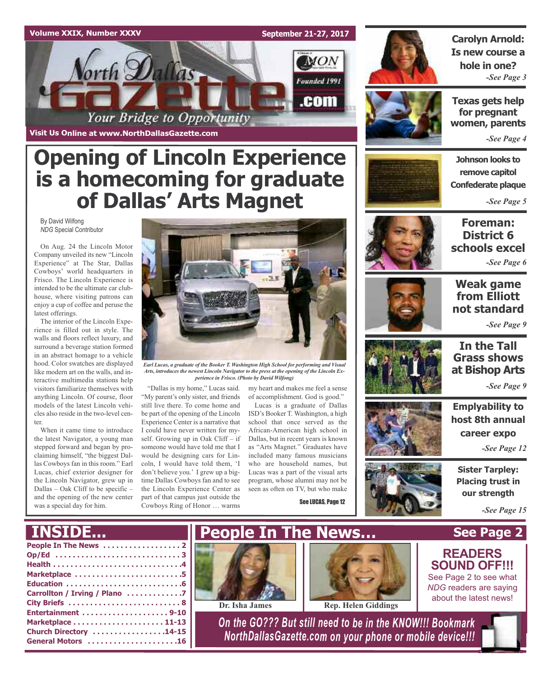### **Volume XXIX, Number XXXV**

**Visit Us Online at www.NorthDallasGazette.com**

orth Dallas

**September 21-27, 2017**

 $_{MON}$ 

Founded 1991

.com



### **Carolyn Arnold: Is new course a hole in one?** *-See Page 3*

**Texas gets help for pregnant women, parents**

*-See Page 4*

**Johnson looks to remove capitol Confederate plaque**

*-See Page 5*

By David Wilfong *NDG* Special Contributor

On Aug. 24 the Lincoln Motor Company unveiled its new "Lincoln Experience" at The Star, Dallas Cowboys' world headquarters in Frisco. The Lincoln Experience is intended to be the ultimate car clubhouse, where visiting patrons can enjoy a cup of coffee and peruse the latest offerings.

The interior of the Lincoln Experience is filled out in style. The walls and floors reflect luxury, and surround a beverage station formed in an abstract homage to a vehicle hood. Color swatches are displayed like modern art on the walls, and interactive multimedia stations help visitors familiarize themselves with anything Lincoln. Of course, floor models of the latest Lincoln vehicles also reside in the two-level center.

When it came time to introduce the latest Navigator, a young man stepped forward and began by proclaiming himself, "the biggest Dallas Cowboys fan in this room." Earl Lucas, chief exterior designer for the Lincoln Navigator, grew up in Dallas – Oak Cliff to be specific – and the opening of the new center was a special day for him.



*Earl Lucas, a graduate of the Booker T. Washington High School for performing and Visual Arts, introduces the newest Lincoln Navigator to the press at the opening of the Lincoln Experience in Frisco. (Photo by David Wilfong)*

"Dallas is my home," Lucas said. "My parent's only sister, and friends still live there. To come home and be part of the opening of the Lincoln Experience Center is a narrative that I could have never written for myself. Growing up in Oak Cliff – if someone would have told me that I would be designing cars for Lincoln, I would have told them, 'I don't believe you.' I grew up a bigtime Dallas Cowboys fan and to see the Lincoln Experience Center as part of that campus just outside the Cowboys Ring of Honor … warms

**Opening of Lincoln Experience**

Your Bridge to Opportunity

**is a homecoming for graduate**

**of Dallas' Arts Magnet**

my heart and makes me feel a sense of accomplishment. God is good."

Lucas is a graduate of Dallas ISD's Booker T. Washington, a high school that once served as the African-American high school in Dallas, but in recent years is known as "Arts Magnet." Graduates have included many famous musicians who are household names, but Lucas was a part of the visual arts program, whose alumni may not be seen as often on TV, but who make

**People In The News…**

See LUCAS, Page 12



### **Foreman: District 6 schools excel**

*-See Page 6*



### **Weak game from Elliott not standard**

*-See Page 9*

## **In the Tall Grass shows at Bishop Arts**

*-See Page 9*

**Emplyability to host 8th annual career expo**

*-See Page 12*

**Sister Tarpley: Placing trust in our strength**

**See Page 2**

*-See Page 15*

## **INSIDE...**

| Marketplace 5                 |  |
|-------------------------------|--|
|                               |  |
| Carrollton / Irving / Plano 7 |  |
|                               |  |
|                               |  |
|                               |  |
| Church Directory 14-15        |  |
| General Motors 16             |  |





**Dr. Isha James Rep. Helen Giddings** 

*On the GO??? But still need to be in the KNOW!!! Bookmark NorthDallasGazette.com on your phone or mobile device!!!*



See Page 2 to see what *NDG* readers are saying about the latest news!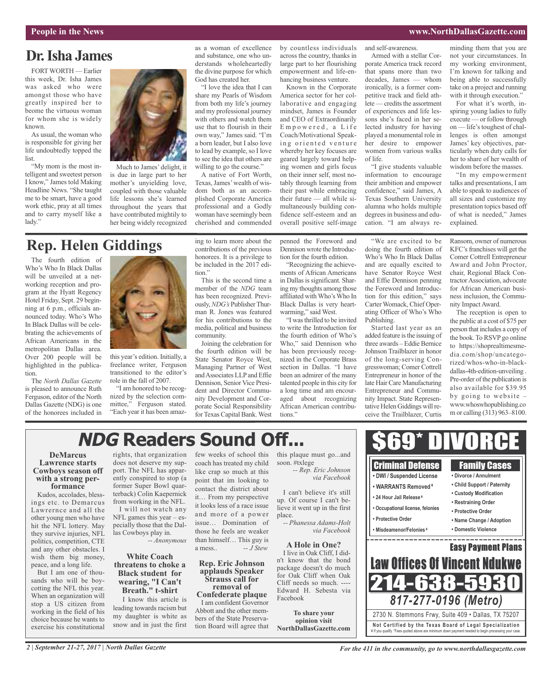### **People in the News www.NorthDallasGazette.com**

### **Dr.Isha James**

FORTWORTH — Earlier this week, Dr. Isha James was asked who were amongst those who have greatly inspired her to beome the virtuous woman for whom she is widely known.

As usual, the woman who is responsible for giving her life undoubtedly topped the list.

"My mom is the most intelligent and sweetest person I know," James told Making Headline News. "She taught me to be smart, have a good work ethic, pray at all times and to carry myself like a lady."



Much to James' delight, it is due in large part to her mother's unyielding love, coupled with those valuable life lessons she's learned throughout the years that have contributed mightily to her being widely recognized

### **Rep. Helen Giddings**

The fourth edition of Who's Who In Black Dallas will be unveiled at a networking reception and program at the Hyatt Regency Hotel Friday, Sept. 29 beginning at 6 p.m., officials announced today. Who's Who In Black Dallas will be celebrating the achievements of African Americans in the metropolitan Dallas area. Over 200 people will be highlighted in the publication.

The *North Dallas Gazette* is pleased to announce Ruth Ferguson, editor of the North Dallas Gazette (NDG) is one of the honorees included in



this year's edition. Initially, a freelance writer, Ferguson transitioned to the editor's role in the fall of 2007.

"I am honored to be recognized by the selection committee," Ferguson stated. "Each year it has been amazing to learn more about the contributions of the previous honorees. It is a privilege to be included in the 2017 edition."

as a woman of excellence and substance, one who understands wholeheartedly the divine purpose for which God has created her.

"I love the idea that I can share my Pearls of Wisdom from both my life's journey and my professional journey with others and watch them use that to flourish in their own way," James said. "I'm a born leader, but I also love to lead by example, so I love to see the idea that others are willing to go the course." A native of Fort Worth, Texas,James'wealth of wisdom both as an accomplished Corporate America professional and a Godly woman have seemingly been cherished and commended

This is the second time a member of the *NDG* team has been recognized. Previously,*NDG's* PublisherThurman R. Jones was featured for his contributions to the media, political and business community.

Joining the celebration for the fourth edition will be State Senator Royce West, Managing Partner of West andAssociates LLPand Effie Dennison, Senior Vice President and Director Community Development and Corporate Social Responsibility for Texas Capital Bank. West by countless individuals across the country, thanks in large part to her flourishing empowerment and life-enhancing business venture.

Known in the Corporate America sector for her collaborative and engaging mindset, James is Founder and CEO of Extraordinarily Empowered, a Life Coach/Motivational Speaking oriented venture whereby her key focuses are geared largely toward helping women and girls focus on their inner self, most notably through learning from their past while embracing their future — all while simultaneously building confidence self-esteem and an overall positive self-image

penned the Foreword and Dennison wrote the Introduction for the fourth edition.

"Recognizing the achievements of African Americans in Dallas is significant. Sharing my thoughts among those affiliated withWho'sWho In Black Dallas is very heartwarming," said West.

"I wasthrilled to be invited to write the Introduction for the fourth edition of Who's Who," said Dennison who has been previously recognized in the Corporate Brass section in Dallas. "I have been an admirer of the many talented people in this city for a long time and am encouraged about recognizing African American contributions."

and self-awareness.

Armed with a stellar Corporate America track record that spans more than two decades, James — whom ironically, is a former competitive track and field athlete — credits the assortment of experiences and life lessons she's faced in her selected industry for having played a monumental role in her desire to empower women from various walks of life.

"I give students valuable information to encourage their ambition and empower confidence," said James, A Texas Southern University alumna who holds multiple degrees in business and education. "I am always re-

"We are excited to be doing the fourth edition of Who's Who In Black Dallas and are equally excited to have Senator Royce West and Effie Dennison penning the Foreword and Introduction for this edition," says Carter Womack, Chief Operating Officer of Who's Who

Started last year as an added feature is the issuing of three awards – Eddie Bernice Johnson Trailblazer in honor of the long-serving Congresswoman; Comer Cottrell Entrepreneur in honor of the late Hair Care Manufacturing Entrepreneur and Community Impact. State Representative Helen Giddings will receive the Trailblazer, Curtis

Publishing.

minding them that you are not your circumstances. In my working environment, I'm known for talking and being able to successfully take on a project and running with it through execution."

For what it's worth, inspiring young ladies to fully execute — or follow through on — life's toughest of challenges is often amongst James' key objectives, particularly when duty calls for her to share of her wealth of wisdom before the masses.

"In my empowerment talks and presentations, I am able to speak to audiences of all sizes and customize my presentation topics based off of what is needed," James explained.

Ransom, owner of numerous  $KFC's$  franchises will get the Comer Cottrell Entrepreneur Award and John Proctor, chair, Regional Black Contractor Association, advocate for African American business inclusion, the Community Impact Award.

The reception is open to the public at a cost of \$75 per person that includes a copy of the book. To RSVP go online to https://shoprealtimesmedia.com/shop/uncategorized/whos-who-in-blackdallas-4th-edition-unveiling . Pre-order of the publication is also available for \$39.95 by going to website – www.whoswhopublishing.co m or calling (313) 963–8100.

# **NDG Readers Sound Off...**

### **DeMarcus Lawrence starts Cowboys season off with <sup>a</sup> strong per- formance**

Kudos, accolades, blessings etc. to Demarcus Lawrernce and all the other young men who have hit the NFL lottery. May they survive injuries, NFL politics, competition, CTE and any other obstacles. I wish them big money, peace, and a long life.

But I am one of thousands who will be boycotting the NFL this year. When an organization will stop a US citizen from working in the field of his choice because he wants to exercise his constitutional

rights, that organization does not deserve my support. The NFL has apparently conspired to stop (a former Super Bowl quarterback) Colin Kaepernick from working in the NFL. I will not watch any NFL games this year – especially those that the Dallas Cowboys play in. *-- Anonymous*

### **White Coach threatens to choke a Black student for wearing, "I Can't Breath." t-shirt** I know this article is

leading towards racism but my daughter is white as snow and in just the first few weeks of school this coach has treated my child like crap so much at this point that im looking to contact the district about it… From my perspective it looks less of a race issue and more of a power issue… Domination of those he feels are weaker than himself… This guy is a mess.. *-- J Stew*

#### **Rep. Eric Johnson applauds Speaker Strauss call for removal of**

**Confederate plaque** I am confident Governor Abbott and the other members of the State Preservation Board will agree that this plaque must go...an soon. #txlege -- Rep. Eric Johnson  $via$  **Faceboo** 

I can't believe it's still up. Of course I can't be lieve it went up in the fir place. -- Phanessa Adams-Ho

*via Facebook*

### **A Hole in One?** I live in Oak Cliff, I did n't know that the bon package doesn't do much for Oak Cliff when Oa Cliff needs so much. --Edward H. Sebesta v Facebook

**To share your opinion visit NorthDallasGazette.com**

| <b>Criminal Defense</b><br>· DWI / Suspended License<br>• WARRANTS Removed <sup>¥</sup><br>• 24 Hour Jail Release*<br>• Occupational license, felonies<br>• Protective Order<br>• Misdeamenor/Felonies <sup>*</sup> | <b>Family Cases</b><br>• Divorce / Annulment<br>• Child Support / Paternity<br>• Custody Modification<br>• Restraining Order<br>• Protective Order<br>• Name Change / Adoption<br>• Domestic Violence |
|---------------------------------------------------------------------------------------------------------------------------------------------------------------------------------------------------------------------|-------------------------------------------------------------------------------------------------------------------------------------------------------------------------------------------------------|
|                                                                                                                                                                                                                     | <b>Easy Payment Plans</b>                                                                                                                                                                             |
| <b>Law Offices Of Vincent Ndukwe</b><br>1538                                                                                                                                                                        | Ч.                                                                                                                                                                                                    |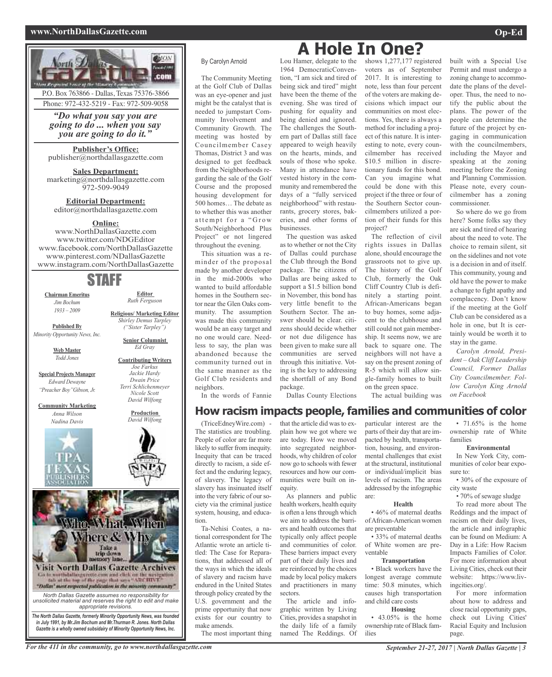### **www.NorthDallasGazette.com Op-Ed**

built with a Special Use Permit and must undergo a zoning change to accommodate the plans of the devel-

So where do we go from

about the need to vote. The choice to remain silent, sit on the sidelines and not vote is a decision in and of itself. This community, young and old have the power to make a change to fight apathy and complacency. Don't know if the meeting at the Golf Club can be considered as a hole in one, but It is certainly would be worth it to



#### By Carolyn Arnold

The Community Meeting at the Golf Club of Dallas was an eye-opener and just might be the catalyst that is needed to jumpstart Community Involvement and Community Growth. The meeting was hosted by Councilmember Casey Thomas, District 3 and was designed to get feedback from the Neighborhoods regarding the sale of the Golf Course and the proposed housing development for 500 homes… The debate as to whether this was another attempt for a "Grow South/Neighborhood Plus Project" or not lingered throughout the evening.

This situation was a reminder of the proposal made by another developer in the mid-2000s who wanted to build affordable homes in the Southern sector near the Glen Oaks community. The assumption was made this community would be an easy target and no one would care. Needless to say, the plan was abandoned because the community turned out in the same manner as the Golf Club residents and neighbors.

In the words of Fannie

(TriceEdneyWire.com) - The statistics are troubling. People of color are far more likely to suffer from inequity. Inequity that can be traced directly to racism, a side effect and the enduring legacy, of slavery. The legacy of slavery has insinuated itself into the very fabric of oursociety via the criminal justice system, housing, and education.

Ta-Nehisi Coates, a national correspondent for The Atlantic wrote an article titled: The Case for Reparations, that addressed all of the ways in which the ideals of slavery and racism have endured in the United States through policy created by the U.S. government and the prime opportunity that now exists for our country to make amends.

The most important thing

### Lou Hamer, delegate to the **A Hole In One?**

1964 DemocraticConvention, "I am sick and tired of being sick and tired" might have been the theme of the evening. She was tired of pushing for equality and being denied and ignored. The challenges the Southern part of Dallas still face appeared to weigh heavily on the hearts, minds, and souls of those who spoke. Many in attendance have vested history in the community and remembered the days of a "fully serviced neighborhood" with restaurants, grocery stores, bakeries, and other forms of businesses.

The question was asked as to whether or not the City of Dallas could purchase the Club through the Bond package. The citizens of Dallas are being asked to support a \$1.5 billion bond in November, this bond has very little benefit to the Southern Sector. The answer should be clear. citizens should decide whether or not due diligence has been given to make sure all communities are served through this initiative. Voting is the key to addressing the shortfall of any Bond package.

Dallas County Elections

that the article did was to explain how we got where we are today. How we moved into segregated neighborhoods, why children of color now go to schools with fewer resources and how our communities were built on in-

As planners and public health workers, health equity

method for including a project of this nature. It is interesting to note, every councilmember has received \$10.5 million in discretionary funds for this bond. Can you imagine what could be done with this project if the three or four of the Southern Sector councilmembers utilized a portion of their funds for this project?

The reflection of civil rights issues in Dallas alone, should encourage the grassroots not to give up. The history of the Golf Club, formerly the Oak Cliff Country Club is definitely a starting point. African-Americans began to buy homes, some adjacent to the clubhouse and still could not gain membership. It seems now, we are back to square one. The neighbors will not have a say on the present zoning of R-5 which will allow single-family homes to built

The actual building was *on Facebook*

> •  $71.65\%$  is the home ownership rate of White families

> *Carolyn Arnold, President – Oak Cliff Leadership Council, Former Dallas City Councilmember. Follow Carolyn King Arnold*

stay in the game.

#### **Environmental**

In New York City, communities of color bear exposure to:

• 30% of the exposure of city waste

• 70% of sewage sludge

To read more about The Reddings and the impact of racism on their daily lives, the article and infographic can be found on Medium: A Day in a Life: How Racism Impacts Families of Color. For more information about Living Cities, check out their website: https://www.livingcities.org/.

For more information about how to address and close racial opportunity gaps, check out Living Cities' Racial Equity and Inclusion page.

shows 1,277,177 registered voters as of September 2017. It is interesting to note, less than four percent of the voters are making decisions which impact our communities on most elections. Yes, there is always a

oper. Thus, the need to notify the public about the plans. The power of the people can determine the future of the project by engaging in communication with the councilmembers, including the Mayor and speaking at the zoning meeting before the Zoning and Planning Commission. Please note, every councilmember has a zoning commissioner. here? Some folks say they are sick and tired of hearing

on the green space.

is often a lens through which we aim to address the barriers and health outcomes that typically only affect people and communities of color. These barriers impact every

equity.

part of their daily lives and are reinforced by the choices made by local policy makers and practitioners in many sectors.

The article and infographic written by Living Cities, provides a snapshot in the daily life of a family named The Reddings. Of

**How racism impacts people, families and communities of color** particular interest are the parts of their day that are impacted by health, transportation, housing, and environmental challenges that exist at the structural, institutional or individual/implicit bias levels of racism. The areas addressed by the infographic are:

#### **Health**

• 46% of maternal deaths ofAfrican-American women are preventable

• 33% of maternal deaths of White women are preventable

### **Transportation**

• Black workers have the longest average commute time: 50.8 minutes, which causes high transportation and child care costs

#### **Housing**

• 43.05% is the home ownership rate of Black families

For the 411 in the community, go to www.northdallasgazette.com September 21-27, 2017 | North Dallas Gazette | 3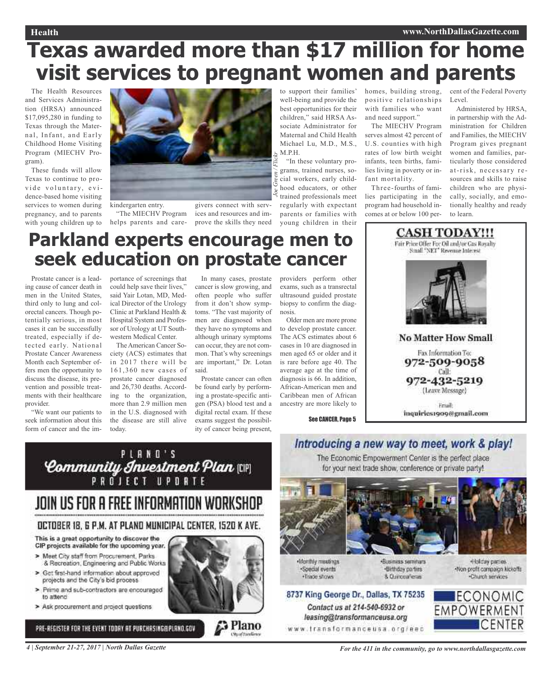# **Texas awarded more than \$17 million for home visit services to pregnant women and parents**

*Joe Green / Flickr*

The Health Resources and Services Administration (HRSA) announced \$17,095,280 in funding to Texas through the Maternal, Infant, and Early Childhood Home Visiting Program (MIECHV Program).

These funds will allow Texas to continue to provide voluntary, evidence-based home visiting services to women during pregnancy, and to parents with young children up to



kindergarten entry. "The MIECHV Program helps parents and care-

givers connect with services and resources and improve the skills they need

to support their families' well-being and provide the best opportunities for their children," said HRSA Associate Administrator for Maternal and Child Health Michael Lu, M.D., M.S., M.P.H.

"In these voluntary programs, trained nurses, social workers, early childhood educators, or other trained professionals meet regularly with expectant parents or families with young children in their

homes, building strong, positive relationships with families who want and need support."

The MIECHV Program serves almost 42 percent of U.S. counties with high rates of low birth weight infants, teen births, families living in poverty or infant mortality.

Three-fourths of families participating in the program had household incomes at or below 100 percent of the Federal Poverty Level.

Administered by HRSA, in partnership with the Administration for Children and Families, the MIECHV Program gives pregnant women and families, particularly those considered at-risk, necessary resources and skills to raise children who are physically, socially, and emotionally healthy and ready to learn.

# **Parkland experts encourage men to seek education on prostate cancer**

Prostate cancer is a leading cause of cancer death in men in the United States, third only to lung and colorectal cancers. Though potentially serious, in most cases it can be successfully treated, especially if detected early. National Prostate Cancer Awareness Month each September offers men the opportunity to discuss the disease, its prevention and possible treatments with their healthcare provider.

"We want our patients to seek information about this form of cancer and the im-

portance of screenings that could help save their lives," said Yair Lotan, MD, Medical Director of the Urology Clinic at Parkland Health & Hospital System and Professor of Urology at UT Southwestern Medical Center.

The American Cancer Society (ACS) estimates that in 2017 there will be 161,360 new cases of prostate cancer diagnosed and 26,730 deaths. According to the organization, more than 2.9 million men in the U.S. diagnosed with the disease are still alive today.

In many cases, prostate cancer is slow growing, and often people who suffer from it don't show symptoms. "The vast majority of men are diagnosed when they have no symptoms and although urinary symptoms can occur, they are not common. That's why screenings are important," Dr. Lotan said.

Prostate cancer can often be found early by performing a prostate-specific antigen (PSA) blood test and a digital rectal exam. If these exams suggest the possibility of cancer being present,

providers perform other exams, such as a transrectal ultrasound guided prostate biopsy to confirm the diagnosis.

Older men are more prone to develop prostate cancer. The ACS estimates about 6 cases in 10 are diagnosed in men aged 65 or older and it is rare before age 40. The average age at the time of diagnosis is 66. In addition, African-American men and Caribbean men of African ancestry are more likely to

See CANCER, Page 5

Small "NET" Revenue Interest **No Matter How Small** Fax Information To: 972-509-9058 Call: 972-432-5219 (Leave Message) Friail: inquiries1909@gmail.com

**CASH TODAY!!!** Fair Price Offer For Oil and/or Cas Royalty



# JOIN US FOR A FREE INFORMATION WORKSHOP

### OCTOBER 18, 6 P.M. AT PLAND MUNICIPAL CENTER, 1520 K AVE.

This is a great opportunity to discover the CIP projects available for the upcoming year.

- > Meet City staff from Procurement, Parks & Recreation, Engineering and Public Works
- > Get first-hand information about approved projects and the City's bid process.
- > Prime and sub-contractors are encouraged to attend
- > Ask procurement and project questions

PRE-REGISTER FOR THE EVENT TODAY AT PURCHASING@PLANO.GOV



Plano



Monthly meetings ·Special events ·Trade shows

Contact us at 214-540-6932 or

leasing@transformanceusa.org

www.transformanceusa.org/eec

«Business seminars ·Birthday parties 8 Curceaferas



### 8737 King George Dr., Dallas, TX 75235 **ECONOMIC EMPOWERMENT ICENTER**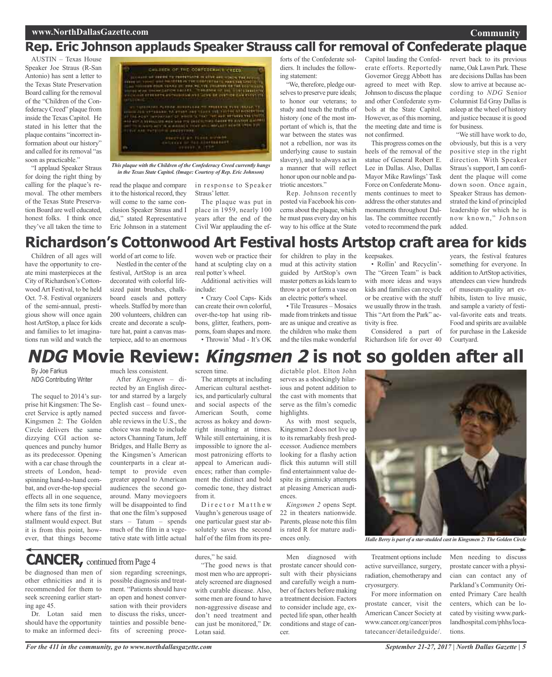### **Community**

## **Rep. Eric Johnson applauds Speaker Strauss call for removal of Confederate plaque**

AUSTIN – Texas House Speaker Joe Straus (R-San Antonio) has sent a letter to the Texas State Preservation Board calling for the removal of the "Children of the Confederacy Creed" plaque from inside the Texas Capitol. He stated in his letter that the plaque contains "incorrect information about our history" and called for its removal "as soon as practicable."

"I applaud Speaker Straus for doing the right thing by calling for the plaque's removal. The other members of the Texas State Preservation Board are well educated, honest folks. I think once they've all taken the time to



*in the Texas State Capitol. (Image: Courtesy of Rep. Eric Johnson)*

read the plaque and compare it to the historical record, they will come to the same conclusion Speaker Straus and I did," stated Representative Eric Johnson in a statement

in response to Speaker Straus' letter.

The plaque was put in place in 1959, nearly 100 years after the end of the Civil War applauding the efforts of the Confederate soldiers. It includes the following statement:

"We, therefore, pledge ourselves to preserve pure ideals; to honor our veterans; to study and teach the truths of history (one of the most important of which is, that the war between the states was not a rebellion, nor was its underlying cause to sustain slavery), and to always act in a manner that will reflect honor upon our noble and patriotic ancestors."

Rep. Johnson recently posted via Facebook his concerns about the plaque, which he must pass every day on his way to his office at the State

Capitol lauding the Confederate efforts. Reportedly Governor Gregg Abbott has agreed to meet with Rep. Johnson to discuss the plaque and other Confederate symbols at the State Capitol. However, as of this morning, the meeting date and time is not confirmed.

This progress comes on the heels of the removal of the statue of General Robert E. Lee in Dallas. Also, Dallas Mayor Mike Rawlings'Task Force on Confederate Monuments continues to meet to address the other statutes and monuments throughout Dallas. The committee recently voted to recommend the park

revert back to its previous name, Oak Lawn Park.These are decisions Dallas has been slow to arrive at because according to *NDG* Senior Columnist Ed Gray Dallas is asleep at the wheel of history and justice because it is good for business.

"We still have work to do, obviously, but this is a very positive step in the right direction. With Speaker Straus's support, I am confident the plaque will come down soon. Once again, Speaker Straus has demonstrated the kind of principled leadership for which he is now known," Johnson added.

# **Richardson's Cottonwood Art Festival hosts Artstop craft area for kids**

Children of all ages will have the opportunity to create mini masterpieces at the City of Richardson's Cottonwood Art Festival, to be held Oct. 7-8. Festival organizers of the semi-annual, prestigious show will once again hostArtStop, a place for kids and families to let imaginations run wild and watch the

world of art come to life.

Nestled in the center of the festival, ArtStop is an area decorated with colorful lifesized paint brushes, chalkboard easels and pottery wheels. Staffed by more than 200 volunteers, children can create and decorate a sculpture hat, paint a canvas masterpiece, add to an enormous

woven web or practice their hand at sculpting clay on a real potter's wheel.

Additional activities will include:

• Crazy Cool Caps- Kids can create their own colorful, over-the-top hat using ribbons, glitter, feathers, pompoms, foam shapes and more. • Throwin' Mud - It's OK for children to play in the mud at this activity station guided by ArtStop's own master potters as kids learn to throw a pot or form a vase on an electric potter's wheel.

• Tile Treasures – Mosaics made from trinkets and tissue are as unique and creative as the children who make them and the tiles make wonderful keepsakes.

• Rollin' and Recyclin'- The "Green Team" is back with more ideas and ways kids and families can recycle or be creative with the stuff we usually throw in the trash. This "Art from the Park" activity is free.

Considered a part of Richardson life for over 40

years, the festival features something for everyone. In addition toArtStop activities, attendees can view hundreds of museum-quality art exhibits, listen to live music, and sample a variety of festival-favorite eats and treats. Food and spirits are available for purchase in the Lakeside Courtyard.

# **NDG Movie Review: Kingsmen 2 is not so golden after all**

By Joe Farkus *NDG* Contributing Writer

The sequel to 2014's surprise hit Kingsmen: The Secret Service is aptly named Kingsmen 2: The Golden Circle delivers the same dizzying CGI action sequences and punchy humor as its predecessor. Opening with a car chase through the streets of London, headspinning hand-to-hand combat, and over-the-top special effects all in one sequence, the film sets its tone firmly where fans of the first installment would expect. But it is from this point, however, that things become

much less consistent.

After *Kingsmen* – directed by an English director and starred by a largely English cast – found unexpected success and favorable reviews in the U.S., the choice was made to include actors Channing Tatum, Jeff Bridges, and Halle Berry as the Kingsmen's American counterparts in a clear attempt to provide even greater appeal to American audiences the second goaround. Many moviegoers will be disappointed to find that one the film's supposed stars – Tatum – spends much of the film in a vegetative state with little actual

screen time.

The attempts at including American cultural aesthetics, and particularly cultural and social aspects of the American South, come across as hokey and downright insulting at times. While still entertaining, it is impossible to ignore the almost patronizing efforts to appeal to American audiences; rather than complement the distinct and bold comedic tone, they distract from it.

Director Matthew Vaughn's generous usage of one particular guest star absolutely saves the second half of the film from its predictable plot. Elton John serves as a shockingly hilarious and potent addition to the cast with moments that serve as the film's comedic highlights.

As with most sequels, Kingsmen 2 does not live up to its remarkably fresh predecessor. Audience members looking for a flashy action flick this autumn will still find entertainment value despite its gimmicky attempts at pleasing American audiences.

*Kingsmen 2* opens Sept. 22 in theaters nationwide. Parents, please note this film is rated R for mature audi-



Treatment options include active surveillance, surgery, radiation, chemotherapy and cryosurgery.

For more information on prostate cancer, visit the American Cancer Society at www.cancer.org/cancer/pros tatecancer/detailedguide/.

Men needing to discuss prostate cancer with a physician can contact any of Parkland's Community Oriented Primary Care health centers, which can be located by visiting www.parklandhospital.com/phhs/locations.

### be diagnosed than men of **CANCER,** continued fromPage <sup>4</sup>

other ethnicities and it is recommended for them to seek screening earlier starting age 45.

Dr. Lotan said men should have the opportunity to make an informed decision regarding screenings, possible diagnosis and treatment. "Patients should have an open and honest conversation with their providers to discuss the risks, uncertainties and possible benefits of screening proce-

*For the 411 in the community, go to www.northdallasgazette.com*

dures," he said.

"The good news is that most men who are appropriately screened are diagnosed with curable disease. Also, some men are found to have non-aggressive disease and don't need treatment and can just be monitored," Dr. Lotan said.

Men diagnosed with prostate cancer should consult with their physicians and carefully weigh a number of factors before making a treatment decision. Factors to consider include age, expected life span, other health conditions and stage of cancer.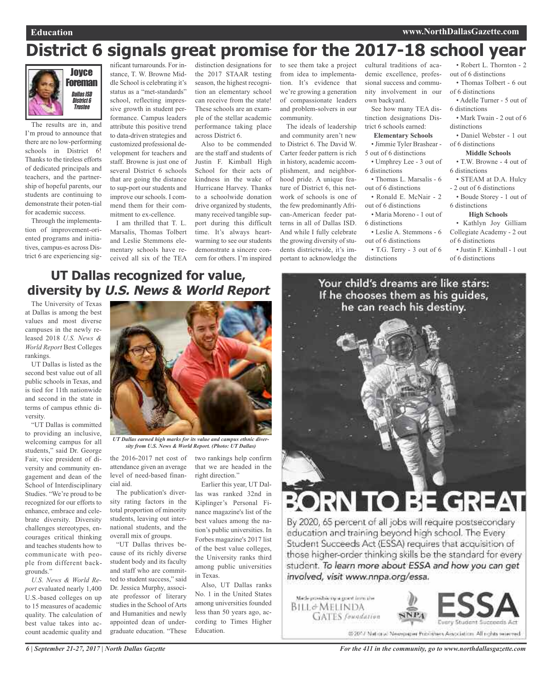# **District 6 signals great promise for the 2017-18 school year**



The results are in, and I'm proud to announce that there are no low-performing schools in District 6! Thanks to the tireless efforts of dedicated principals and teachers, and the partnership of hopeful parents, our students are continuing to demonstrate their poten-tial for academic success.

Through the implementation of improvement-oriented programs and initiatives, campus-es across District 6 are experiencing sig-

nificant turnarounds. For instance, T. W. Browne Middle School is celebrating it's status as a "met-standards" school, reflecting impressive growth in student performance. Campus leaders attribute this positive trend to data-driven strategies and customized professional development for teachers and staff. Browne is just one of several District 6 schools that are going the distance to sup-port our students and improve our schools. I commend them for their commitment to ex-cellence.

I am thrilled that T. L. Marsalis, Thomas Tolbert and Leslie Stemmons elementary schools have received all six of the TEA

distinction designations for the 2017 STAAR testing season, the highest recognition an elementary school can receive from the state! These schools are an example of the stellar academic performance taking place across District 6.

Also to be commended are the staff and students of Justin F. Kimball High School for their acts of kindness in the wake of Hurricane Harvey. Thanks to a schoolwide donation drive organized by students, many received tangible support during this difficult time. It's always heartwarming to see our students demonstrate a sincere concern for others. I'm inspired

to see them take a project from idea to implementation. It's evidence that we're growing a generation of compassionate leaders and problem-solvers in our community.

The ideals of leadership and community aren't new to District 6. The David W. Carter feeder pattern is rich in history, academic accomplishment, and neighborhood pride. A unique feature of District 6, this network of schools is one of the few predominantly African-American feeder patterns in all of Dallas ISD. And while I fully celebrate the growing diversity of students districtwide, it's important to acknowledge the

cultural traditions of academic excellence, professional success and community involvement in our own backyard.

See how many TEA distinction designations District 6 schools earned:

#### **Elementary Schools**

- Jimmie Tyler Brashear -
- Umphrey Lee 3 out of
- 
- 
- Ronald E. McNair 2
- Maria Moreno 1 out of
- 6 distinctions
- 
- T.G. Terry 3 out of 6

• Robert L. Thornton - 2 out of 6 distinctions

• Thomas Tolbert - 6 out of 6 distinctions

• Adelle Turner - 5 out of 6 distinctions

• Mark Twain - 2 out of 6 distinctions

- Daniel Webster 1 out
- of 6 distinctions

### **Middle Schools**

• T.W. Browne - 4 out of 6 distinctions

- STEAM at D.A. Hulcy - 2 out of 6 distinctions
- Boude Storey 1 out of 6 distinctions

### **High Schools**

• Kathlyn Joy Gilliam Collegiate Academy - 2 out of 6 distinctions

• Justin F. Kimball - 1 out of 6 distinctions

### **UT Dallas recognized for value, diversity by U.S. News & World Report**

The University of Texas at Dallas is among the best values and most diverse campuses in the newly released 2018 *U.S. News & World Report* Best Colleges rankings.

UT Dallas is listed as the second best value out of all public schools in Texas, and is tied for 11th nationwide and second in the state in terms of campus ethnic diversity.

"UT Dallas is committed to providing an inclusive, welcoming campus for all students," said Dr. George Fair, vice president of diversity and community engagement and dean of the School of Interdisciplinary Studies. "We're proud to be recognized for our efforts to enhance, embrace and celebrate diversity. Diversity challenges stereotypes, encourages critical thinking and teaches students how to communicate with people from different backgrounds."

*U.S. News & World Report* evaluated nearly 1,400 U.S.-based colleges on up to 15 measures of academic quality. The calculation of best value takes into account academic quality and



*UT Dallas earned high marks for its value and campus ethnic diversity from U.S. News & World Report. (Photo: UT Dallas)*

attendance given an average level of need-based financial aid.

The publication's diversity rating factors in the total proportion of minority students, leaving out international students, and the overall mix of groups.

"UT Dallas thrives because of its richly diverse student body and its faculty and staff who are committed to student success," said Dr. Jessica Murphy, associate professor of literary studies in the School of Arts and Humanities and newly appointed dean of undergraduate education. "These

the 2016-2017 net cost of two rankings help confirm that we are headed in the right direction."

> Earlier this year, UT Dallas was ranked 32nd in Kiplinger's Personal Finance magazine's list of the best values among the nation's public universities. In Forbes magazine's 2017 list of the best value colleges, the University ranks third among public universities in Texas.

Also, UT Dallas ranks No. 1 in the United States among universities founded less than 50 years ago, according to Times Higher Education.



# **DRN TO BE GREAT**

By 2020, 65 percent of all jobs will require postsecondary education and training beyond high school. The Every Student Succeeds Act (ESSA) requires that acquisition of those higher-order thinking skills be the standard for every student. To learn more about ESSA and how you can get involved, visit www.nnpa.org/essa.



out of 6 distinctions

- 
- Leslie A. Stemmons 6
- out of 6 distinctions

distinctions

5 out of 6 distinctions 6 distinctions • Thomas L. Marsalis - 6 out of 6 distinctions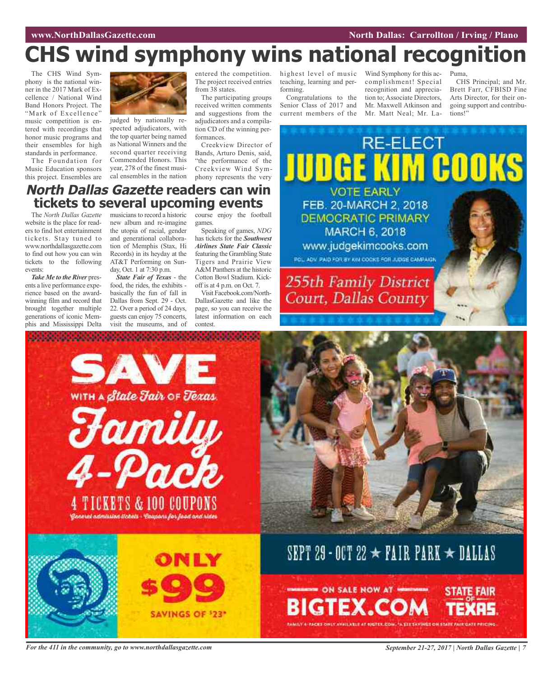# **CHS wind symphony wins national recognition**

The CHS Wind Symphony is the national winner in the 2017 Mark of Excellence / National Wind Band Honors Project. The "Mark of Excellence" music competition is entered with recordings that honor music programs and their ensembles for high standards in performance.

The Foundation for Music Education sponsors this project. Ensembles are



judged by nationally respected adjudicators, with the top quarter being named as National Winners and the second quarter receiving Commended Honors. This year, 278 of the finest musical ensembles in the nation

entered the competition. The project received entries from 38 states.

The participating groups received written comments and suggestions from the adjudicators and a compilation CD of the winning performances.

Creekview Director of Bands, Arturo Denis, said, "the performance of the Creekview Wind Symphony represents the very

teaching, learning and performing. Congratulations to the

Senior Class of 2017 and current members of the Mr. Maxwell Atkinson and Mr. Matt Neal; Mr. La-

Court, Dallas County

highest level of music Wind Symphony for this accomplishment! Special recognition and appreciation to; Associate Directors,

Puma,

CHS Principal; and Mr. Brett Farr, CFBISD Fine Arts Director, for their ongoing support and contributions!"



### **North Dallas Gazette readers can win tickets to several upcoming events**

The *North Dallas Gazette* website is the place for readers to find hot entertainment tickets. Stay tuned to www.northdallasgazette.com to find out how you can win tickets to the following events:

*Take Me to the River* presents a live performance experience based on the awardwinning film and record that brought together multiple generations of iconic Memphis and Mississippi Delta musicians to record a historic new album and re-imagine the utopia of racial, gender and generational collaboration of Memphis (Stax, Hi Records) in its heyday at the AT&T Performing on Sunday, Oct. 1 at 7:30 p.m.

*State Fair of Texas* - the food, the rides, the exhibits basically the fun of fall in Dallas from Sept. 29 - Oct. 22. Over a period of 24 days, guests can enjoy 75 concerts, visit the museums, and of

course enjoy the football games. Speaking of games, *NDG*

has tickets for the *Southwest Airlines State Fair Classic* featuring the Grambling State Tigers and Prairie View A&M Panthers at the historic Cotton Bowl Stadium. Kickoff is at 4 p.m. on Oct. 7.

Visit Facebook.com/North-DallasGazette and like the page, so you can receive the latest information on each contest.





# SEPT 29 - OCT 22  $\star$  PAIR PARK  $\star$  DALLAS

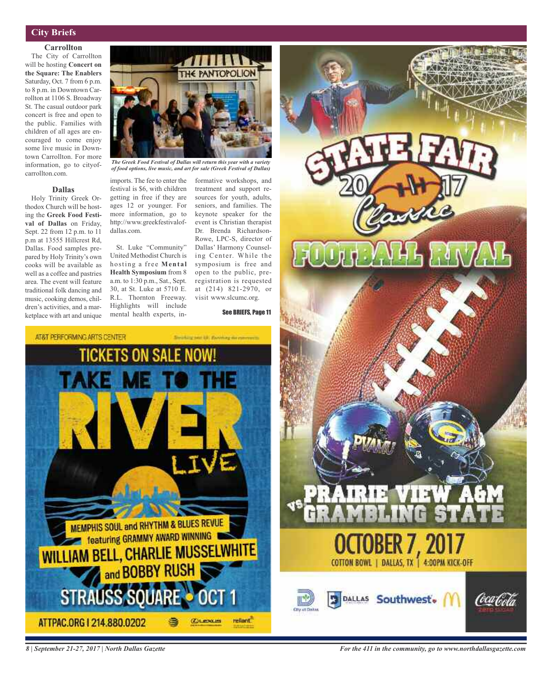### **City Briefs**

### **Carrollton**

The City of Carrollton will be hosting **Concert on the Square: The Enablers** Saturday, Oct. 7 from 6 p.m. to 8 p.m. in Downtown Carrollton at 1106 S. Broadway St. The casual outdoor park concert is free and open to the public. Families with children of all ages are encouraged to come enjoy some live music in Downtown Carrollton. For more information, go to cityofcarrollton.com.

### **Dallas**

Holy Trinity Greek Orthodox Church will be hosting the **Greek Food Festival of Dallas** on Friday, Sept. 22 from 12 p.m. to 11 p.m at 13555 Hillcrest Rd, Dallas. Food samples prepared by Holy Trinity's own cooks will be available as well as a coffee and pastries area. The event will feature traditional folk dancing and music, cooking demos, children's activities, and a marketplace with art and unique



*The Greek Food Festival of Dallas will return this year with a variety of food options, live music, and art for sale (Greek Festival of Dallas)*

imports. The fee to enter the festival is \$6, with children getting in free if they are ages 12 or younger. For more information, go to http://www.greekfestivalofdallas.com.

St. Luke "Community" United Methodist Church is hosting a free **Mental Health Symposium** from 8 a.m. to 1:30 p.m., Sat., Sept. 30, at St. Luke at 5710 E. R.L. Thornton Freeway. Highlights will include mental health experts, in-

formative workshops, and treatment and support resources for youth, adults, seniors, and families. The keynote speaker for the event is Christian therapist Dr. Brenda Richardson-Rowe, LPC-S, director of Dallas' Harmony Counseling Center. While the symposium is free and open to the public, preregistration is requested at (214) 821-2970, or visit www.slcumc.org.

See BRIEFS, Page 11





*8 | September 21-27, 2017 | North Dallas Gazette*

*For the 411 in the community, go to www.northdallasgazette.com*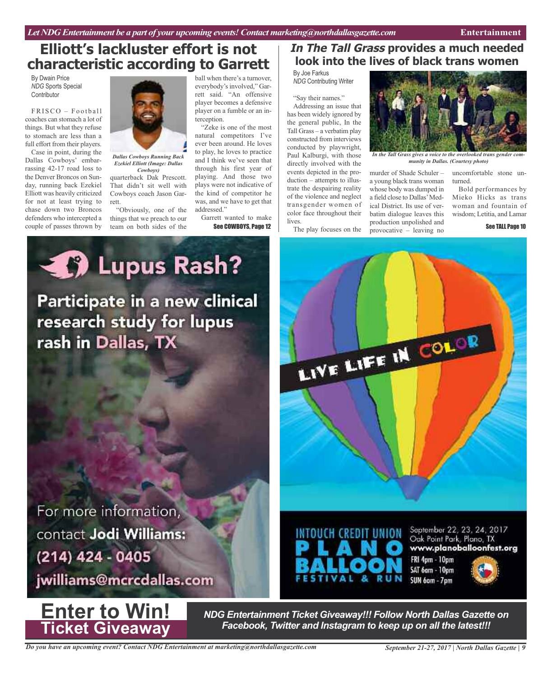# **Elliott's lackluster effort is not characteristic according to Garrett**

By Dwain Price *NDG* Sports Special **Contributor** 

 $FRISCO - Football$ coaches can stomach a lot of things. But what they refuse to stomach are less than a full effort from their players.

Case in point, during the Dallas Cowboys' embarrassing 42-17 road loss to the Denver Broncos on Sunday, running back Ezekiel Elliott was heavily criticized for not at least trying to chase down two Broncos defenders who intercepted a couple of passes thrown by



*Dallas Cowboys Running Back Ezekiel Elliott (Image: Dallas Cowboys)*

quarterback Dak Prescott. That didn't sit well with Cowboys coach Jason Garrett.

"Obviously, one of the things that we preach to our team on both sides of the

ball when there's a turnover, everybody's involved," Garrett said. "An offensive player becomes a defensive player on a fumble or an interception.

"Zeke is one of the most natural competitors I've ever been around. He loves to play, he loves to practice and I think we've seen that through his first year of playing. And those two plays were not indicative of the kind of competitor he was, and we have to get that addressed."

Garrett wanted to make See COWBOYS, Page 12

### **In The Tall Grass provides a much needed look into the lives of black trans women**

By Joe Farkus *NDG* Contributing Writer

"Say their names."

Addressing an issue that has been widely ignored by the general public, In the Tall Grass – a verbatim play constructed from interviews conducted by playwright, Paul Kalburgi, with those directly involved with the events depicted in the production – attempts to illustrate the despairing reality of the violence and neglect transgender women of color face throughout their lives.

The play focuses on the



*In the Tall Grass gives a voice to the overlooked trans gender community in Dallas. (Courtesy photo)*

murder of Shade Schuler – a young black trans woman whose body was dumped in a field close to Dallas'Medical District. Its use of verbatim dialogue leaves this production unpolished and provocative – leaving no

LIVE LIFE IN COLOR

turned. Bold performances by Mieko Hicks as trans woman and fountain of

wisdom; Letitia, and Lamar

uncomfortable stone un-

See TALL Page 10

**4 Di** Lupus Rash? Participate in a new clinical research study for lupus rash in Dallas, TX

For more information, contact Jodi Williams: (214) 424 - 0405

jwilliams@mcrcdallas.com



*NDG Entertainment Ticket Giveaway!!! Follow North Dallas Gazette on Facebook, Twitter and Instagram to keep up on all the latest!!!*

 $\mathbf{z}$ 

**RUN** 

INTOUCH CREDIT UNION

September 22, 23, 24, 2017

www.planoballoonfest.org

Oak Point Park, Plano, TX

FRI 4pm - 10pm SAT 6am - 10pm

SUN 6am - 7pm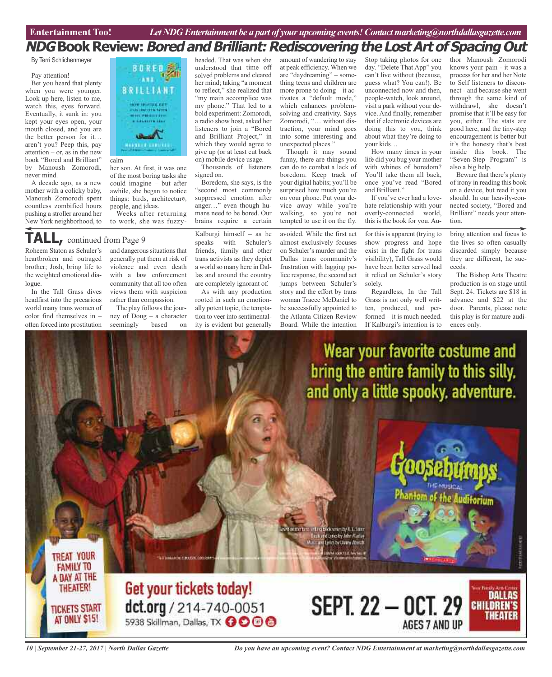# **NDGBookReview:BoredandBrilliant:RediscoveringtheLostArtofSpacingOut**

#### By Terri Schlichenmeyer

#### Pay attention!

Bet you heard that plenty when you were younger. Look up here, listen to me, watch this, eyes forward. Eventually, it sunk in: you kept your eyes open, your mouth closed, and you are the better person for it… aren't you? Peep this, pay attention – or, as in the new book "Bored and Brilliant" by Manoush Zomorodi, never mind.

A decade ago, as <sup>a</sup> new mother with <sup>a</sup> colicky baby, Manoush Zomorodi spen<sup>t</sup> countless zombified hours pushing <sup>a</sup> stroller around her New York neighborhood, to



#### calm

her son. At first, it was one of the most boring tasks she could imagine – but after awhile, she began to notice things: birds, architecture, people, and ideas.

Weeks after returning to work, she was fuzzy-

# **TALL,** continued from Page <sup>9</sup>

Roheem Staton as Schuler's heartbroken and outraged brother; Josh, bring life to the weighted emotional dialogue.

In the Tall Grass dives headfirst into the precarious world many trans women of color find themselves in – often forced into prostitution

**TREAT YOUR** 

**FAMILY TO** A DAY AT THE

**THEATER!** 

**TICKETS START** 

AT ONLY \$15!

and dangerous situations that generally put them at risk of violence and even death with a law enforcement community that all too often views them with suspicion rather than compassion.

The play follows the journey of Doug – a character seemingly based on

headed. That was when she understood that time off solved problems and cleared her mind; taking "a moment to reflect," she realized that "my main accomplice was my phone." That led to <sup>a</sup> bold experiment: Zomorodi, <sup>a</sup> radio show host, asked her listeners to join <sup>a</sup> "Bored and Brilliant Project," in which they would agree to give up (or at least cut back on) mobile device usage.

Thousands of listeners signed on.

Boredom, she says, is the "second most commonly suppressed emotion after anger…" even though humans need to be bored. Our brains require <sup>a</sup> certain

Kalburgi himself – as he speaks with Schuler's friends, family and other trans activists as they depict a world so many here in Dallas and around the country are completely ignorant of.

As with any production rooted in such an emotionally potent topic, the temptation to veer into sentimentality is evident but generally

amount of wandering to stay at peak efficiency. When we are "daydreaming" – something teens and children are more prone to doing – it activates <sup>a</sup> "default mode," which enhances problemsolving and creativity. Says Zomorodi, "… without distraction, your mind goes into some interesting and unexpected places."

Though it may sound funny, there are things you can do to combat <sup>a</sup> lack of boredom. Keep track of your digital habits; you'll be surprised how much you're on your phone. Put your device away while you're walking, so you're not tempted to use it on the fly.

avoided. While the first act almost exclusively focuses on Schuler's murder and the Dallas trans community's frustration with lagging police response, the second act jumps between Schuler's story and the effort by trans woman Tracee McDaniel to be successfully appointed to the Atlanta Citizen Review Board. While the intention

Stop taking photos for one day. "Delete That App" you can't live without (because, guess what? You can!). Be unconnected now and then, people-watch, look around, visit <sup>a</sup> park without your device. And finally, remember that if electronic devices are doing this to you, think about what they're doing to your kids…

How many times in your life did you bug your mother with whines of boredom? You'll take them all back, once you've read "Bored and Brilliant."

If you've ever had <sup>a</sup> lovehate relationship with your overly-connected world, this is the book for you. Au-

for this is apparent (trying to show progress and hope exist in the fight for trans visibility), Tall Grass would have been better served had it relied on Schuler's story solely.

Regardless, In the Tall Grass is not only well written, produced, and performed – it is much needed. If Kalburgi's intention is to

thor Manoush Zomorodi knows your pain - it was <sup>a</sup> process for her and her Note to Self listeners to disconnect - and because she went through the same kind of withdrawl, she doesn't promise that it'll be easy for you, either. The stats are good here, and the tiny-step encouragemen<sup>t</sup> is better but it's the honesty that's best inside this book. The "Seven-Step Program" is also <sup>a</sup> big help.

Beware that there's plenty of irony in reading this book on <sup>a</sup> device, but read it you should. In our heavily-connected society, "Bored and Brilliant" needs your attention.

bring attention and focus to the lives so often casually discarded simply because they are different, he succeeds.

The Bishop Arts Theatre production is on stage until Sept. 24. Tickets are \$18 in advance and \$22 at the door. Parents, please note this play is for mature audiences only.

**DALLAS** 

THEATER

**CHILDREN'S** 

Wear your favorite costume and bring the entire family to this silly. and only a little spooky, adventure.

t inting brekener by E.L. fam the and latin by John Maring and Letter by thems About **MARKULLAN** 



**ALLE CRASH COORD** 



**SEPT. 22 - OCT. 29** 

AGES 7 AND UP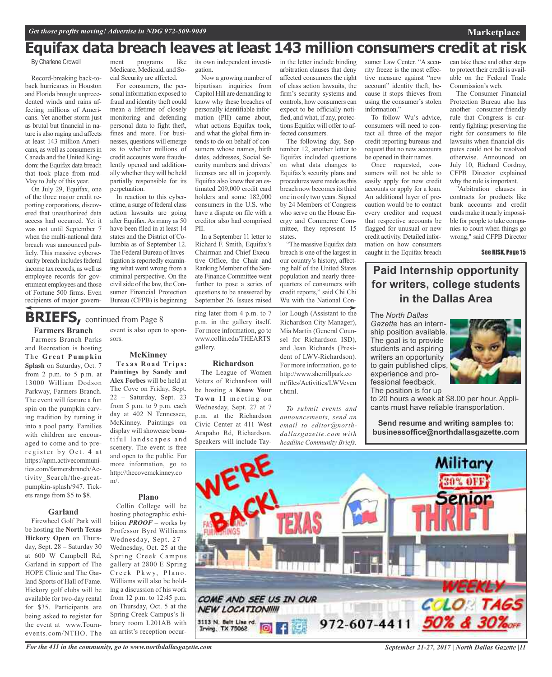# **Equifax data breach leaves at least 143 million consumers credit at risk**

### By Charlene Crowell

Record-breaking back-toback hurricanes in Houston and Florida brought unprecedented winds and rains affecting millions of Americans. Yet another storm just as brutal but financial in nature is also raging and affects at least 143 million Americans, as well as consumers in Canada and the United Kingdom: the Equifax data breach that took place from mid-May to July of this year.

On July 29, Equifax, one of the three major credit reporting corporations, discovered that unauthorized data access had occurred. Yet it was not until September 7 when the multi-national data breach was announced publicly. This massive cybersecurity breach includes federal income tax records, as well as employee records for government employees and those of Fortune 500 firms. Even recipients of major govern-

**Farmers Branch**

pumpkin-splash/947. Tickets range from \$5 to \$8.

**Garland** Firewheel Golf Park will be hosting the **North Texas Hickory Open** on Thursday, Sept. 28 – Saturday 30 at 600 W Campbell Rd, Garland in support of The HOPE Clinic and The Garland Sports of Hall of Fame. Hickory golf clubs will be available for two-day rental for \$35. Participants are being asked to register for the event at www.Tournevents.com/NTHO. The

ment programs like Medicare, Medicaid, and Social Security are affected.

For consumers, the personal information exposed to fraud and identity theft could mean a lifetime of closely monitoring and defending personal data to fight theft, fines and more. For businesses, questions will emerge as to whether millions of credit accounts were fraudulently opened and additionally whether they will be held partially responsible for its perpetuation.

In reaction to this cybercrime, a surge of federal class action lawsuits are going after Equifax.As many as 50 have been filed in at least 14 states and the District of Columbia as of September 12. The Federal Bureau of Investigation is reportedly examining what went wrong from a criminal perspective. On the civil side of the law, the Consumer Financial Protection Bureau (CFPB) is beginning

### **BRIEFS**, continued from Page 8

Farmers Branch Parks event is also open to sponsors.

and Recreation is hosting Th e **Gr e a t Pu m p k i n Splash** on Saturday, Oct. 7 from 2 p.m. to 5 p.m. at 13000 William Dodson Parkway, Farmers Branch. The event will feature a fun spin on the pumpkin carving tradition by turning it into a pool party. Families with children are encouraged to come and to preregister by Oct. 4 at https://apm.activecommunities.com/farmersbranch/Activity\_Search/the-great-**McKinney Te x a s R o a d Tr i p s: Paintings by Sandy and Alex Forbes** will be held at The Cove on Friday, Sept. 22 – Saturday, Sept. 23 from 5 p.m. to 9 p.m. each day at 402 N Tennessee, McKinney. Paintings on display will showcase beautiful landscapes and scenery. The event is free and open to the public. For more information, go to http://thecovemckinney.co m/.

### **Plano**

Collin College will be hosting photographic exhibition *PROOF* – works by Professor Byrd Williams Wednesday, Sept. 27 – Wednesday, Oct. 25 at the Spring Creek Campus gallery at 2800 E Spring Creek Pkwy, Plano. Williams will also be holding a discussion of his work from 12 p.m. to 12:45 p.m. on Thursday, Oct. 5 at the Spring Creek Campus's library room L201AB with an artist's reception occur-

its own independent investigation.

Now a growing number of bipartisan inquiries from Capitol Hill are demanding to know why these breaches of personally identifiable information (PII) came about, what actions Equifax took, and what the global firm intends to do on behalf of consumers whose names, birth dates, addresses, Social Security numbers and drivers' licenses are all in jeopardy. Equifax also knew that an estimated 209,000 credit card holders and some 182,000 consumers in the U.S. who have a dispute on file with a creditor also had comprised PII.

In a September 11 letter to Richard F. Smith, Equifax's Chairman and Chief Executive Office, the Chair and Ranking Member of the Senate Finance Committee went further to pose a series of questions to be answered by September 26. Issues raised

ring later from 4 p.m. to 7 p.m. in the gallery itself. For more information, go to www.collin.edu/THEARTS gallery.

### **Richardson**

The League of Women Voters of Richardson will be hosting a **Know Your** Town II meeting on Wednesday, Sept. 27 at 7 p.m. at the Richardson Civic Center at 411 West Arapaho Rd, Richardson. Speakers will include Tayin the letter include binding arbitration clauses that deny affected consumers the right of class action lawsuits, the firm's security systems and controls, how consumers can expect to be officially notified, and what, if any, protections Equifax will offer to affected consumers.

The following day, September 12, another letter to Equifax included questions on what data changes to Equifax's security plans and procedures were made asthis breach now becomes its third one in only two years. Signed by 24 Members of Congress who serve on the House Energy and Commerce Committee, they represent 15 states.

"The massive Equifax data breach is one of the largest in our country's history, affecting half of the United States population and nearly threequarters of consumers with credit reports," said Chi Chi Wu with the National Con-

lor Lough (Assistant to the Richardson City Manager), Mia Martin (General Counsel for Richardson ISD), and Jean Richards (President of LWV-Richardson). For more information, go to http://www.sherrillpark.co m/files/Activities/LWVeven t.html.

*To submit events and announcements, send an email to editor@northdallasgazette.com with headline Community Briefs.*

sumer Law Center. "A security freeze is the most effective measure against "new account" identity theft, because it stops thieves from using the consumer's stolen information."

To follow Wu's advice, consumers will need to contact all three of the major credit reporting bureaus and request that no new accounts be opened in their names.

Once requested, consumers will not be able to easily apply for new credit accounts or apply for a loan. An additional layer of precaution would be to contact every creditor and request that respective accounts be flagged for unusual or new credit activity. Detailed information on how consumers caught in the Equifax breach

can take these and other steps to protect their credit is available on the Federal Trade Commission's web.

**Marketplace**

The Consumer Financial Protection Bureau also has another consumer-friendly rule that Congress is currently fighting: preserving the right for consumers to file lawsuits when financial disputes could not be resolved otherwise. Announced on July 10, Richard Cordray, CFPB Director explained why the rule is important.

"Arbitration clauses in contracts for products like bank accounts and credit cards make it nearly impossible for people to take companies to court when things go wrong," said CFPB Director

See RISK, Page 15

### **Paid Internship opportunity for writers, college students in the Dallas Area**

The *North Dallas Gazette* has an internship position available. The goal is to provide students and aspiring writers an opportunity to gain published clips, experience and professional feedback. The position is for up

to 20 hours a week at \$8.00 per hour. Applicants must have reliable transportation.

**Send resume and writing samples to: businessoffice@northdallasgazette.com**



*For the 411 in the community, go to www.northdallasgazette.com*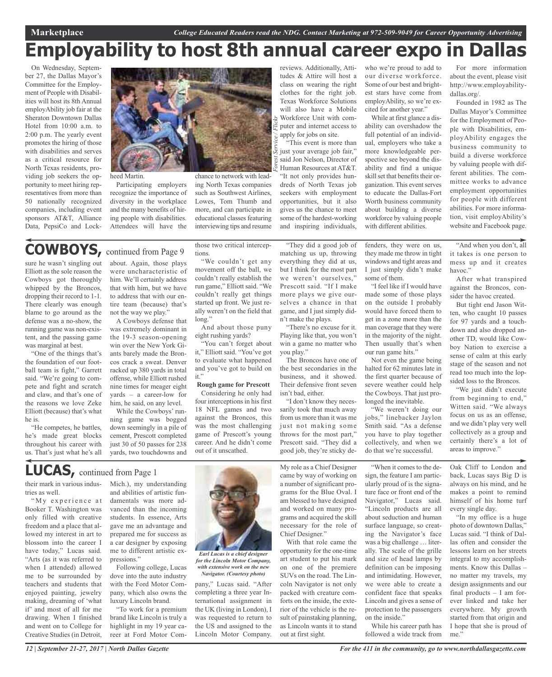# **Employability to host 8th annual career expo in Dallas**

*Forest Service / Flickr*

On Wednesday, September 27, the Dallas Mayor's Committee for the Employment of People with Disabilities will host its 8th Annual employAbility job fair at the Sheraton Downtown Dallas Hotel from 10:00 a.m. to 2:00 p.m. The yearly event promotes the hiring of those with disabilities and serves as a critical resource for North Texas residents, providing job seekers the opportunity to meet hiring representatives from more than 50 nationally recognized companies, including event sponsors AT&T, Alliance Data, PepsiCo and Lock-



heed Martin.

Participating employers recognize the importance of diversity in the workplace and the many benefits of hiring people with disabilities. Attendees will have the

# **COWBOYS,** continued from Page <sup>9</sup>

sure he wasn't singling out Elliott as the sole reason the Cowboys got thoroughly whipped by the Broncos, dropping their record to 1-1. There clearly was enough blame to go around as the defense was a no-show, the running game was non-existent, and the passing game was marginal at best.

"One of the things that's the foundation of our football team is fight," Garrett said. "We're going to compete and fight and scratch and claw, and that's one of the reasons we love Zeke Elliott (because) that's what he is.

"He competes, he battles, he's made great blocks throughout his career with us. That's just what he's all

about. Again, those plays were uncharacteristic of him. We'll certainly address that with him, but we have to address that with our entire team (because) that's not the way we play."

A Cowboys defense that was extremely dominant in the 19-3 season-opening win over the New York Giants barely made the Broncos crack a sweat. Denver racked up 380 yards in total offense, while Elliott rushed nine times for meager eight yards – a career-low for him, he said, on any level.

While the Cowboys' running game was bogged down seemingly in a pile of cement, Prescott completed just 30 of 50 passes for 238 yards, two touchdowns and

those two critical interceptions.

ing North Texas companies such as Southwest Airlines, Lowes, Tom Thumb and more, and can participate in educational classes featuring interviewing tips and resume

"We couldn't get any movement off the ball, we couldn't really establish the run game," Elliott said. "We couldn't really get things started up front. We just really weren't on the field that  $l$ ong"

And about those puny eight rushing yards?

"You can't forget about it," Elliott said. "You've got to evaluate what happened and you've got to build on it."

**Rough game for Prescott** Considering he only had four interceptions in his first 18 NFL games and two against the Broncos, this was the most challenging game of Prescott's young career. And he didn't come out of it unscathed.

reviews. Additionally, Attitudes & Attire will host a class on wearing the right clothes for the right job. Texas Workforce Solutions will also have a Mobile Workforce Unit with computer and internet access to apply for jobs on site.

"This event is more than just your average job fair," said Jon Nelson, Director of Human Resources at AT&T. "It not only provides hundreds of North Texas job seekers with employment opportunities, but it also gives us the chance to meet some of the hardest-working and inspiring individuals,

"They did a good job of matching us up, throwing everything they did at us, but I think for the most part we weren't ourselves," Prescott said. "If I make more plays we give ourselves a chance in that game, and I just simply didn't make the plays.

"There's no excuse for it. Playing like that, you won't win a game no matter who you play."

The Broncos have one of the best secondaries in the business, and it showed. Their defensive front seven isn't bad, either.

"I don't know they necessarily took that much away from us more than it was me just not making some throws for the most part," Prescott said. "They did a good job, they're sticky dewho we're proud to add to our diverse workforce. Some of our best and brightest stars have come from employAbility, so we're excited for another year."

While at first glance a disability can overshadow the full potential of an individual, employers who take a more knowledgeable perspective see beyond the disability and find a unique skill set that benefits their organization. This event serves to educate the Dallas-Fort Worth business community about building a diverse workforce by valuing people with different abilities.

fenders, they were on us, they made me throw in tight windows and tight areas and I just simply didn't make some of them.

"I feel like if I would have made some of those plays on the outside I probably would have forced them to get in a zone more than the man coverage that they were in the majority of the night. Then usually that's when our run game hits."

Not even the game being halted for 62 minutes late in the first quarter because of severe weather could help the Cowboys. That just prolonged the inevitable.

"We weren't doing our jobs," linebacker Jaylon Smith said. "As a defense you have to play together collectively, and when we do that we're successful.

"When it comes to the design, the feature I am particularly proud of is the signature face or front end of the Navigator," Lucas said. "Lincoln products are all about seduction and human surface language, so creating the Navigator's face was a big challenge … literally. The scale of the grille and size of head lamps by definition can be imposing and intimidating. However, we were able to create a confident face that speaks Lincoln and gives a sense of protection to the passengers on the inside."

While his career path has followed a wide track from

For more information about the event, please visit http://www.employabilitydallas.org/.

Founded in 1982 as The Dallas Mayor's Committee for the Employment of People with Disabilities, employAbility engages the business community to build a diverse workforce by valuing people with different abilities. The committee works to advance employment opportunities for people with different abilities. For more information, visit employAbility's website and Facebook page.

"And when you don't, all it takes is one person to mess up and it creates havoc."

After what transpired against the Broncos, consider the havoc created.

But tight end Jason Witten, who caught 10 passes for 97 yards and a touchdown and also dropped another TD, would like Cowboy Nation to exercise a sense of calm at this early stage of the season and not read too much into the lopsided loss to the Broncos.

"We just didn't execute from beginning to end," Witten said. "We always focus on us as an offense, and we didn't play very well collectively as a group and certainly there's a lot of areas to improve."

Oak Cliff to London and back, Lucas says Big D is always on his mind, and he makes a point to remind himself of his home turf every single day.

"In my office is a huge photo of downtown Dallas," Lucas said. "I think of Dallas often and consider the lessons learn on her streets integral to my accomplishments. Know this Dallas – no matter my travels, my design assignments and our final products  $-$  I am forever linked and take her everywhere. My growth started from that origin and I hope that she is proud of me."

their mark in various industries as well. "My experience at **LUCAS,** continued from Page <sup>1</sup>

Booker T. Washington was only filled with creative freedom and a place that allowed my interest in art to blossom into the career I have today," Lucas said. "Arts (as it was referred to when I attended) allowed me to be surrounded by teachers and students that enjoyed painting, jewelry making, dreaming of 'what if' and most of all for me drawing. When I finished and went on to College for Creative Studies (in Detroit,

Mich.), my understanding and abilities of artistic fundamentals was more advanced than the incoming students. In essence, Arts gave me an advantage and prepared me for success as a car designer by exposing me to different artistic expressions."

Following college, Lucas dove into the auto industry with the Ford Motor Company, which also owns the luxury Lincoln brand.

"To work for a premium brand like Lincoln is truly a highlight in my 19 year career at Ford Motor Com-



*for the Lincoln Motor Company, with extensive work on the new Navigator. (Courtesy photo)*

pany," Lucas said. "After completing a three year International assignment in the UK (living in London), I was requested to return to the US and assigned to the Lincoln Motor Company.

My role as a Chief Designer came by way of working on a number of significant programs for the Blue Oval. I am blessed to have designed and worked on many programs and acquired the skill necessary for the role of Chief Designer."

With that role came the opportunity for the one-time art student to put his mark on one of the premiere SUVs on the road. The Lincoln Navigator is not only packed with creature comforts on the inside, the exterior of the vehicle is the result of painstaking planning, as Lincoln wants it to stand out at first sight.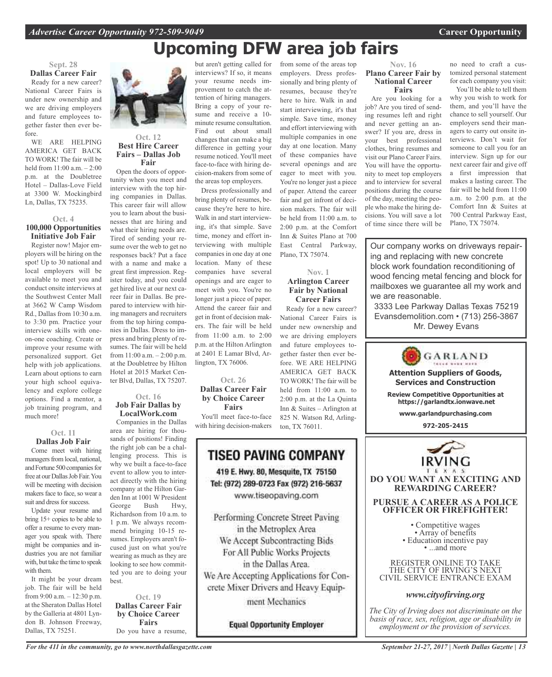# **Upcoming DFW area job fairs**

from some of the areas top employers. Dress professionally and bring plenty of resumes, because they're here to hire. Walk in and start interviewing, it's that simple. Save time, money and effort interviewing with multiple companies in one day at one location. Many of these companies have several openings and are eager to meet with you. You're no longer just a piece of paper. Attend the career fair and get infront of decision makers. The fair will be held from 11:00 a.m. to 2:00 p.m. at the Comfort Inn & Suites Plano at 700 East Central Parkway,

Plano, TX 75074.

**Nov. 1 Arlington Career Fair by National Career Fairs** Ready for a new career? National Career Fairs is under new ownership and we are driving employers and future employees together faster then ever before. WE ARE HELPING AMERICA GET BACK TO WORK! The fair will be held from 11:00 a.m. to 2:00 p.m. at the La Quinta Inn & Suites – Arlington at 825 N. Watson Rd, Arling-

### **Sept. 28 Dallas Career Fair** Ready for a new career?

National Career Fairs is under new ownership and we are driving employers and future employees together faster then ever before.

WE ARE HELPING AMERICA GET BACK TO WORK! The fair will be held from 11:00 a.m. – 2:00 p.m. at the Doubletree Hotel – Dallas-Love Field at 3300 W. Mockingbird Ln, Dallas, TX 75235.

### **Oct. 4 100,000 Opportunities Initiative Job Fair**

Register now! Major employers will be hiring on the spot! Up to 30 national and local employers will be available to meet you and conduct onsite interviews at the Southwest Center Mall at 3662 W Camp Wisdom Rd., Dallas from 10:30 a.m. to 3:30 pm. Practice your interview skills with oneon-one coaching. Create or improve your resume with personalized support. Get help with job applications. Learn about options to earn your high school equivalency and explore college options. Find a mentor, a job training program, and much more!

### **Oct. 11 Dallas Job Fair**

Come meet with hiring managers from local, national, and Fortune 500 companies for free at our Dallas Job Fair. You will be meeting with decision makers face to face, so wear a suit and dress for success.

Update your resume and bring 15+ copies to be able to offer a resume to every manager you speak with. There might be companies and industries you are not familiar with, but take the time to speak with them.

It might be your dream job. The fair will be held from 9:00 a.m. – 12:30 p.m. at the Sheraton Dallas Hotel by the Galleria at 4801 Lyndon B. Johnson Freeway, Dallas, TX 75251.



### **Oct. 12 Best Hire Career Fairs – Dallas Job Fair**

Open the doors of opportunity when you meet and interview with the top hiring companies in Dallas. This career fair will allow you to learn about the businesses that are hiring and what their hiring needs are. Tired of sending your resume over the web to get no responses back? Put a face with a name and make a great first impression. Register today, and you could get hired live at our next career fair in Dallas. Be prepared to interview with hiring managers and recruiters from the top hiring companies in Dallas. Dress to impress and bring plenty of resumes. The fair will be held from 11:00 a.m. – 2:00 p.m. at the Doubletree by Hilton Hotel at 2015 Market Center Blvd, Dallas, TX 75207.

### **Oct. 16 Job Fair Dallas by LocalWork.com**

Companies in the Dallas area are hiring for thousands of positions! Finding the right job can be a challenging process. This is why we built a face-to-face event to allow you to interact directly with the hiring company at the Hilton Garden Inn at 1001 W President George Bush Hwy, Richardson from 10 a.m. to 1 p.m. We always recommend bringing 10-15 resumes. Employers aren't focused just on what you're wearing as much as they are looking to see how committed you are to doing your best.

**Oct. 19 Dallas Career Fair by Choice Career Fairs** Do you have a resume, but aren't getting called for interviews? If so, it means your resume needs improvement to catch the attention of hiring managers. Bring a copy of your resume and receive a 10 minute resume consultation. Find out about small changes that can make a big difference in getting your resume noticed. You'll meet face-to-face with hiring decision-makers from some of the areas top employers.

Dress professionally and bring plenty of resumes, because they're here to hire. Walk in and start interviewing, it's that simple. Save time, money and effort interviewing with multiple companies in one day at one location. Many of these companies have several openings and are eager to meet with you. You're no longer just a piece of paper. Attend the career fair and get in front of decision makers. The fair will be held from 11:00 a.m. to 2:00 p.m. at the Hilton Arlington at 2401 E Lamar Blvd, Arlington, TX 76006.

**Oct. 26 Dallas Career Fair by Choice Career Fairs**

You'll meet face-to-face with hiring decision-makers

# **TISEO PAVING COMPANY**

ton, TX 76011.

419 E. Hwy. 80, Mesquite, TX 75150 Tel: (972) 289-0723 Fax (972) 216-5637 www.tiseopaving.com

Performing Concrete Street Paving in the Metroplex Area We Accept Subcontracting Bids For All Public Works Projects in the Dallas Area. We Are Accepting Applications for Concrete Mixer Drivers and Heavy Equip-

ment Mechanics

**Equal Opportunity Employer** 

### **Nov. 16 Plano Career Fair by National Career Fairs**

Are you looking for a job? Are you tired of sending resumes left and right and never getting an answer? If you are, dress in your best professional clothes, bring resumes and visit our Plano Career Fairs. You will have the opportunity to meet top employers and to interview for several positions during the course of the day, meeting the people who make the hiring decisions. You will save a lot of time since there will be no need to craft a customized personal statement for each company you visit:

You'll be able to tell them why you wish to work for them, and you'll have the chance to sell yourself. Our employers send their managers to carry out onsite interviews. Don't wait for someone to call you for an interview. Sign up for our next career fair and give off a first impression that makes a lasting career. The fair will be held from 11:00 a.m. to 2:00 p.m. at the Comfort Inn & Suites at 700 Central Parkway East, Plano, TX 75074.

Our company works on driveways repairing and replacing with new concrete block work foundation reconditioning of wood fencing metal fencing and block for mailboxes we guarantee all my work and we are reasonable.

3333 Lee Parkway Dallas Texas 75219 Evansdemolition.com • (713) 256-3867 Mr. Dewey Evans



**DO YOU WANT AN EXCITING AND REWARDING CAREER?**

### **PURSUE A CAREER AS A POLICE OFFICER OR FIREFIGHTER!**

• Competitive wages<br>• Array of benefits<br>• Education incentive pay<br>• ...and more

REGISTER ONLINE TO TAKE THE CITY OF IRVING'S NEXT CIVIL SERVICE ENTRANCE EXAM

### *www.cityofirving.org*

*The City of Irving does not discriminate on the basis of race, sex, religion, age or disability in employment or the provision of services.*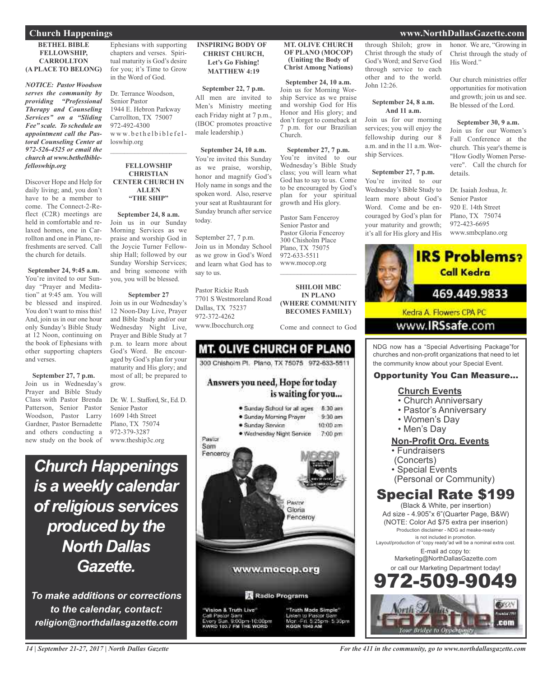### **BETHEL BIBLE FELLOWSHIP, CARROLLTON (A PLACE TO BELONG)**

*NOTICE: Pastor Woodson serves the community by providing "Professional Therapy and Counseling Services" on a "Sliding Fee" scale. To schedule an appointment call the Pastoral Counseling Center at 972-526-4525 or email the church at www.bethelbiblefelloswhip.org*

Discover Hope and Help for daily living; and, you don't have to be a member to come. The Connect-2-Reflect (C2R) meetings are held in comfortable and relaxed homes, one in Carrollton and one in Plano, refreshments are served. Call the church for details.

**September 24, 9:45 a.m.** You're invited to our Sunday "Prayer and Meditation" at 9:45 am. You will be blessed and inspired. You don't want to miss this! And, join us in our one hour only Sunday's Bible Study at 12 Noon, continuing on the book of Ephesians with other supporting chapters and verses.

**September 27, 7 p.m.** Join us in Wednesday's Prayer and Bible Study Class with Pastor Brenda Patterson, Senior Pastor Woodson, Pastor Larry Gardner, Pastor Bernadette and others conducting a new study on the book of

Ephesians with supporting chapters and verses. Spiritual maturity is God's desire for you; it's Time to Grow in the Word of God.

Dr. Terrance Woodson, Senior Pastor 1944 E. Hebron Parkway Carrollton, TX 75007 972-492-4300 www.bethelbiblefelloswhip.org

 $\mathcal{L}_\text{max}$  and  $\mathcal{L}_\text{max}$  and  $\mathcal{L}_\text{max}$ 

### **FELLOWSHIP CHRISTIAN CENTER CHURCH IN ALLEN "THE SHIP"**

**September 24, 8 a.m.** Join us in our Sunday Morning Services as we praise and worship God in the Joycie Turner Fellowship Hall; followed by our Sunday Worship Services; and bring someone with you, you will be blessed.

### **September 27**

Join us in our Wednesday's 12 Noon-Day Live, Prayer and Bible Study and/or our Wednesday Night Live, Prayer and Bible Study at 7 p.m. to learn more about God's Word. Be encouraged by God's plan for your maturity and His glory; and most of all; be prepared to grow.

Dr. W. L. Stafford, Sr., Ed. D. Senior Pastor 1609 14th Street Plano, TX 75074 972-379-3287 www.theship3c.org

*Church Happenings is a weekly calendar ofreligious services produced by the North Dallas Gazette.*

*To make additions or corrections to the calendar, contact: religion@northdallasgazette.com*

### **INSPIRING BODY OF CHRIST CHURCH, Let's Go Fishing! MATTHEW 4:19**

### **September 22, 7 p.m.**

All men are invited to Men's Ministry meeting each Friday night at 7 p.m., (IBOC promotes proactive male leadership.)

### **September 24, 10 a.m.**

You're invited this Sunday as we praise, worship, honor and magnify God's Holy name in songs and the spoken word. Also, reserve your seat at Rushtaurant for Sunday brunch after service today.

September 27, 7 p.m. Join us in Monday School as we grow in God's Word and learn what God has to say to us.

Pastor Rickie Rush 7701 S Westmoreland Road Dallas, TX 75237 972-372-4262 www.Ibocchurch.org

### **MT. OLIVE CHURCH OF PLANO (MOCOP) (Uniting the Body of Christ Among Nations)**

### **September 24, 10 a.m.** Join us for Morning Worship Service as we praise and worship God for His Honor and His glory; and don't forget to comeback at 7 p.m. for our Brazilian Church.

**September 27, 7 p.m.** You're invited to our Wednesday's Bible Study class; you will learn what God has to say to us. Come to be encouraged by God's plan for your spiritual growth and His glory.

Pastor Sam Fenceroy Senior Pastor and Pastor Gloria Fenceroy 300 Chisholm Place Plano, TX 75075 972-633-5511 www.mocop.org  $\overline{\phantom{a}}$  , and the set of the set of the set of the set of the set of the set of the set of the set of the set of the set of the set of the set of the set of the set of the set of the set of the set of the set of the s

**SHILOH MBC IN PLANO (WHERE COMMUNITY BECOMES FAMILY)**

Come and connect to God



through Shiloh; grow in Christ through the study of God's Word; and Serve God through service to each other and to the world. John 12:26.

### **September 24, 8 a.m. And 11 a.m.**

Join us for our morning services; you will enjoy the fellowship during our 8 a.m. and in the 11 a.m. Worship Services.

### **September 27, 7 p.m.**

You're invited to our Wednesday's Bible Study to learn more about God's Word. Come and be encouraged by God's plan for your maturity and growth; it's all for His glory and His honor. We are, "Growing in Christ through the study of His Word."

Our church ministries offer opportunities for motivation and growth; join us and see. Be blessed of the Lord.

### **September 30, 9 a.m.**

Join us for our Women's Fall Conference at the church. This year's theme is "How Godly Women Persevere". Call the church for details.

Dr. Isaiah Joshua, Jr. Senior Pastor 920 E. 14th Street Plano, TX 75074 972-423-6695 www.smbcplano.org



NDG now has a "Special Advertising Package"for churches and non-profit organizations that need to let the community know about your Special Event.

### Opportunity You Can Measure...

### **Church Events**

- Church Anniversary
- Pastor's Anniversary
- Women's Day
- Men's Day

### **Non-Profit Org. Events**

- Fundraisers
- (Concerts)
- Special Events
- (Personal or Community)

### Special Rate \$199

(Black & White, per insertion) Ad size - 4.905"x 6"(Quarter Page, B&W) (NOTE: Color Ad \$75 extra per inserion) Production disclaimer - NDG ad meake-ready is not included in promotion. Layout/production of "copy ready"ad will be a nominal extra cost. E-mail ad copy to: Marketing@NorthDallasGazette.com or call our Marketing Department today! 2-509-9



### **Church Happenings www.NorthDallasGazette.com**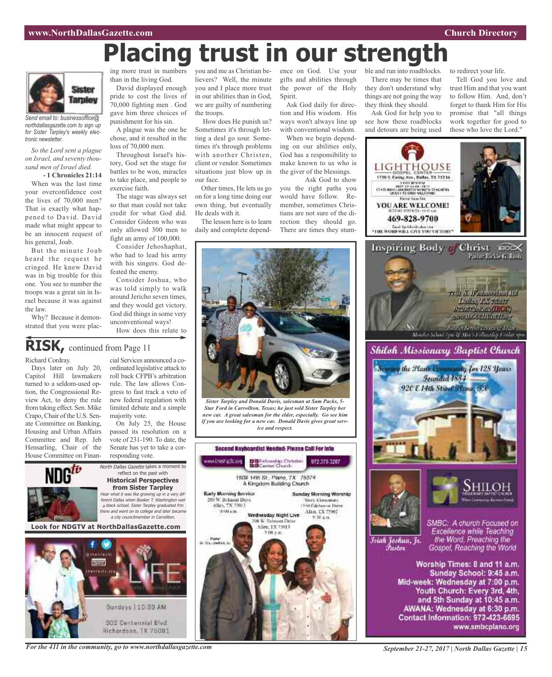# **Placing trust in our strength**



*Send email to: businessoffice@ northdallasgazette.com to sign up for Sister Tarpley's weekly electronic newsletter.*

*So the Lord sent a plague on Israel, and seventy thousand men of Israel died.*

**- 1 Chronicles 21:14** When was the last time your overconfidence cost the lives of 70,000 men? That is exactly what happened to David. David made what might appear to be an innocent request of his general, Joab.

But the minute Joab heard the request he cringed. He knew David was in big trouble for this one. You see to number the troops was a great sin in Israel because it was against the law.

Why? Because it demonstrated that you were plac-

ing more trust in numbers than in the living God.

David displayed enough pride to cost the lives of 70,000 fighting men . God gave him three choices of punishment for his sin.

A plague was the one he chose, and it resulted in the loss of 70,000 men.

Throughout Israel's history, God set the stage for battles to be won, miracles to take place, and people to exercise faith.

so that man could not take credit for what God did. Consider Gideon who was only allowed 300 men to fight an army of 100,000.

Consider Jehoshaphat, who had to lead his army with his singers. God defeated the enemy.

Consider Joshua, who was told simply to walk around Jericho seven times, and they would get victory. God did things in some very unconventional ways!

# **RISK,** continued from Page <sup>11</sup>

Richard Cordray.

Days later on July 20, Capitol Hill lawmakers turned to a seldom-used option, the Congressional Review Act, to deny the rule from taking effect. Sen. Mike Crapo, Chair of the U.S. Senate Committee on Banking, Housing and Urban Affairs Committee and Rep. Jeb Hensarling, Chair of the House Committee on Finan-

cial Services announced a coordinated legislative attack to roll back CFPB's arbitration rule. The law allows Congress to fast track a veto of new federal regulation with limited debate and a simple majority vote.

On July 25, the House passed its resolution on a vote of 231-190. To date, the Senate has yet to take a corresponding vote.



302 Centennial Blvd Hichardson, IX 75081

you and me as Christian believers? Well, the minute you and I place more trust

our face.

He deals with it.

How does He punish us?

ting a deal go sour. Sometimes it's through problems with another Christen, client or vendor. Sometimes situations just blow up in

Other times, He lets us go on for a long time doing our own thing, but eventually

The lesson here is to learn daily and complete depend-

the troops. Sometimes it's through let-

The stage was always set

How does this relate to

in our abilities than in God, we are guilty of numbering ence on God. Use your gifts and abilities through the power of the Holy Spirit. Ask God daily for direc-

> tion and His wisdom. His ways won't always line up with conventional wisdom. When we begin depend-

ing on our abilities only, God has a responsibility to make known to us who is the giver of the blessings. Ask God to show

you the right paths you would have follow. Remember, sometimes Christians are not sure of the direction they should go. There are times they stum-

ble and run into roadblocks. There may be times that they don't understand why things are not going the way they think they should.

Ask God for help you to see how these roadblocks and detours are being used

to redirect your life. Tell God you love and trust Him and that you want to follow Him. And, don't

forget to thank Him for His promise that "all things work together for good to those who love the Lord."





Īsiah Joshua, Jr. Fustor

the Word. Preaching the Gospel, Reaching the World

Worship Times: 8 and 11 a.m. Sunday School: 9:45 a.m. Mid-week: Wednesday at 7:00 p.m. Youth Church: Every 3rd, 4th, and 5th Sunday at 10:45 a.m. AWANA: Wednesday at 6:30 p.m. Contact Information: 972-423-6695 www.smbcplano.org



*For the 411 in the community, go to www.northdallasgazette.com*



*Sister Tarpley and Donald Davis, salesman at Sam Packs, 5- Star Ford in Carrollton, Texas; he just sold Sister Tarpley her new car. A great salesman for the elder, especially. Go see him if you are looking for a new car. Donald Davis gives great service and respect.*